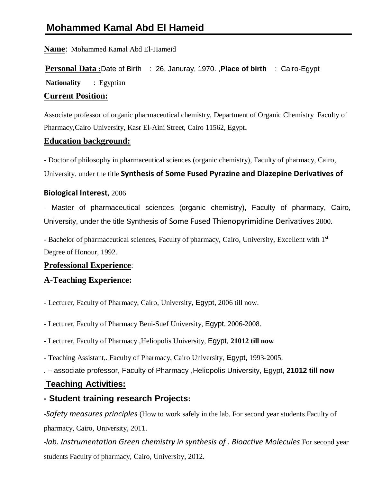## **Mohammed Kamal Abd El Hameid**

**Name**: Mohammed Kamal Abd El-Hameid

**Personal Data :**Date of Birth : 26, Januray, 1970. ,**Place of birth** : Cairo-Egypt

**Nationality** : Egyptian

#### **Current Position:**

Associate professor of organic pharmaceutical chemistry, Department of Organic Chemistry Faculty of Pharmacy,Cairo University, Kasr El-Aini Street, Cairo 11562, Egypt**.**

#### **Education background:**

- Doctor of philosophy in pharmaceutical sciences (organic chemistry), Faculty of pharmacy, Cairo, University. under the title **Synthesis of Some Fused Pyrazine and Diazepine Derivatives of** 

#### **Biological Interest,** 2006

- Master of pharmaceutical sciences (organic chemistry), Faculty of pharmacy, Cairo, University, under the title Synthesis of Some Fused Thienopyrimidine Derivatives 2000.

- Bachelor of pharmaceutical sciences, Faculty of pharmacy, Cairo, University, Excellent with 1**st** Degree of Honour, 1992.

#### **Professional Experience**:

### **A-Teaching Experience:**

- Lecturer, Faculty of Pharmacy, Cairo, University, Egypt, 2006 till now.

- Lecturer, Faculty of Pharmacy Beni-Suef University, Egypt, 2006-2008.

- Lecturer, Faculty of Pharmacy ,Heliopolis University, Egypt, **21012 till now**

- Teaching Assistant,. Faculty of Pharmacy, Cairo University, Egypt, 1993-2005.

. – associate professor, Faculty of Pharmacy ,Heliopolis University, Egypt, **21012 till now**

## **Teaching Activities:**

## **- Student training research Projects:**

*-Safety measures principles* (How to work safely in the lab. For second year students Faculty of pharmacy, Cairo, University, 2011.

-*lab. Instrumentation Green chemistry in synthesis of . Bioactive Molecules* For second year students Faculty of pharmacy, Cairo, University, 2012.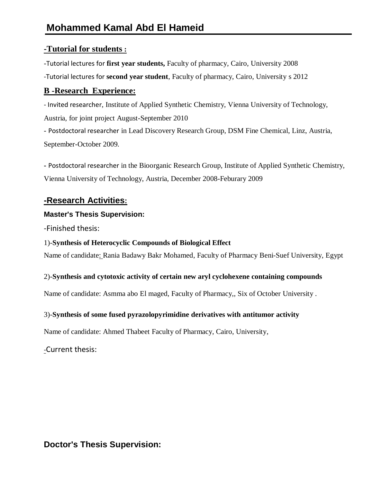#### **-Tutorial for students :**

-Tutorial lectures for **first year students,** Faculty of pharmacy, Cairo, University 2008

-Tutorial lectures for **second year student**, Faculty of pharmacy, Cairo, University s 2012

### **B -Research Experience:**

- Invited researcher, Institute of Applied Synthetic Chemistry, Vienna University of Technology, Austria, for joint project August-September 2010

- Postdoctoral researcher in Lead Discovery Research Group, DSM Fine Chemical, Linz, Austria, September-October 2009.

**-** Postdoctoral researcher in the Bioorganic Research Group, Institute of Applied Synthetic Chemistry, Vienna University of Technology, Austria, December 2008-Feburary 2009

## **-Research Activities:**

#### **Master's Thesis Supervision:**

-Finished thesis:

#### 1)-**Synthesis of Heterocyclic Compounds of Biological Effect**

Name of candidate: Rania Badawy Bakr Mohamed, Faculty of Pharmacy Beni-Suef University, Egypt

#### 2)-**Synthesis and cytotoxic activity of certain new aryl cyclohexene containing compounds**

Name of candidate: Asmma abo El maged, Faculty of Pharmacy,, Six of October University .

#### 3)-**Synthesis of some fused pyrazolopyrimidine derivatives with antitumor activity**

Name of candidate: Ahmed Thabeet Faculty of Pharmacy, Cairo, University,

-Current thesis:

**Doctor's Thesis Supervision:**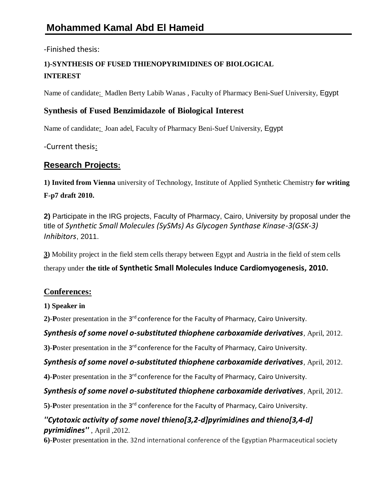-Finished thesis:

## **1)-SYNTHESIS OF FUSED THIENOPYRIMIDINES OF BIOLOGICAL INTEREST**

Name of candidate: Madlen Berty Labib Wanas, Faculty of Pharmacy Beni-Suef University, Egypt

## **Synthesis of Fused Benzimidazole of Biological Interest**

Name of candidate: Joan adel, Faculty of Pharmacy Beni-Suef University, Egypt

-Current thesis:

## **Research Projects:**

**1) Invited from Vienna** university of Technology, Institute of Applied Synthetic Chemistry **for writing F-p7 draft 2010.**

**2)** Participate in the IRG projects, Faculty of Pharmacy, Cairo, University by proposal under the title of *Synthetic Small Molecules (SySMs) As Glycogen Synthase Kinase-3(GSK-3) Inhibitors*, 2011.

**3)** Mobility project in the field stem cells therapy between Egypt and Austria in the field of stem cells

therapy under **the title of Synthetic Small Molecules Induce Cardiomyogenesis, 2010.**

## **Conferences:**

#### **1) Speaker in**

2)-Poster presentation in the 3<sup>rd</sup> conference for the Faculty of Pharmacy, Cairo University.

## *Synthesis of some novel o-substituted thiophene carboxamide derivatives*, April, 2012.

**3)-Poster presentation in the 3<sup>rd</sup> conference for the Faculty of Pharmacy, Cairo University.** 

## *Synthesis of some novel o-substituted thiophene carboxamide derivatives*, April, 2012.

**4)**-**P**oster presentation in the 3 rd conference for the Faculty of Pharmacy, Cairo University.

## *Synthesis of some novel o-substituted thiophene carboxamide derivatives*, April, 2012.

5)-Poster presentation in the 3<sup>rd</sup> conference for the Faculty of Pharmacy, Cairo University.

#### *''Cytotoxic activity of some novel thieno[3,2-d]pyrimidines and thieno[3,4-d] pyrimidines''* , April ,2012.

**6)**-**P**oster presentation in the. 32nd international conference of the Egyptian Pharmaceutical society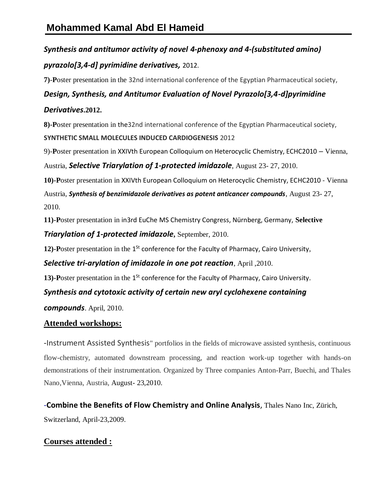# *Synthesis and antitumor activity of novel 4-phenoxy and 4-(substituted amino) pyrazolo[3,4-d] pyrimidine derivatives,* 2012.

**7)**-**P**oster presentation in the 32nd international conference of the Egyptian Pharmaceutical society,

*Design, Synthesis, and Antitumor Evaluation of Novel Pyrazolo[3,4-d]pyrimidine* 

#### *Derivatives***.2012.**

**8)-P**oster presentation in the32nd international conference of the Egyptian Pharmaceutical society,

**SYNTHETIC SMALL MOLECULES INDUCED CARDIOGENESIS** 2012

9)-**P**oster presentation in XXIVth European Colloquium on Heterocyclic Chemistry, ECHC2010 – Vienna,

Austria, *Selective Triarylation of 1-protected imidazole*, August 23- 27, 2010.

**10)-P**oster presentation in XXIVth European Colloquium on Heterocyclic Chemistry, ECHC2010 - Vienna

Austria, *Synthesis of benzimidazole derivatives as potent anticancer compounds*, August 23- 27, 2010.

**11)-P**oster presentation in in3rd EuChe MS Chemistry Congress, Nürnberg, Germany, **Selective** 

*Triarylation of 1-protected imidazole***,** September, 2010.

12)-Poster presentation in the 1<sup>St</sup> conference for the Faculty of Pharmacy, Cairo University,

*Selective tri-arylation of imidazole in one pot reaction*, April ,2010.

13)-Poster presentation in the 1<sup>st</sup> conference for the Faculty of Pharmacy, Cairo University.

## *Synthesis and cytotoxic activity of certain new aryl cyclohexene containing*

*compounds*. April, 2010.

## **Attended workshops:**

-Instrument Assisted Synthesis" portfolios in the fields of microwave assisted synthesis, continuous flow-chemistry, automated downstream processing, and reaction work-up together with hands-on demonstrations of their instrumentation. Organized by Three companies Anton-Parr, Buechi, and Thales Nano,Vienna, Austria, August- 23,2010.

-**Combine the Benefits of Flow Chemistry and Online Analysis**, Thales Nano Inc, Zürich, Switzerland, April-23,2009.

## **Courses attended :**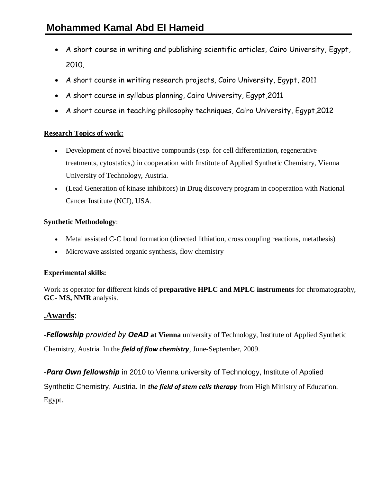- A short course in writing and publishing scientific articles, Cairo University, Egypt, 2010.
- A short course in writing research projects, Cairo University, Egypt, 2011
- A short course in syllabus planning, Cairo University, Egypt,2011
- A short course in teaching philosophy techniques, Cairo University, Egypt,2012

#### **Research Topics of work:**

- Development of novel bioactive compounds (esp. for cell differentiation, regenerative treatments, cytostatics,) in cooperation with Institute of Applied Synthetic Chemistry, Vienna University of Technology, Austria.
- (Lead Generation of kinase inhibitors) in Drug discovery program in cooperation with National Cancer Institute (NCI), USA.

#### **Synthetic Methodology**:

- Metal assisted C-C bond formation (directed lithiation, cross coupling reactions, metathesis)
- Microwave assisted organic synthesis, flow chemistry

#### **Experimental skills:**

Work as operator for different kinds of **preparative HPLC and MPLC instruments** for chromatography, **GC- MS, NMR** analysis.

#### **.Awards**:

**-***Fellowship provided by OeAD* **at Vienna** university of Technology, Institute of Applied Synthetic Chemistry, Austria. In the *field of flow chemistry*, June-September, 2009.

*-Para Own fellowship* in 2010 to Vienna university of Technology, Institute of Applied Synthetic Chemistry, Austria. In *the field of stem cells therapy* from High Ministry of Education. Egypt.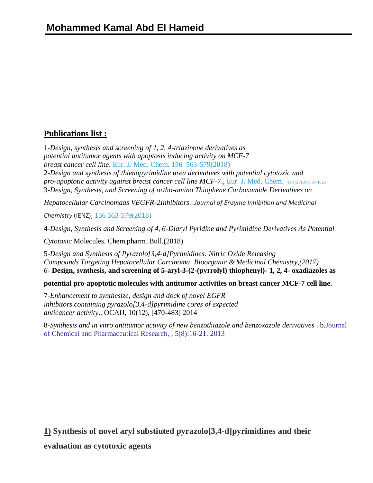## **Publications list :**

1-*Design, synthesis and screening of 1, 2, 4-triazinone derivatives as potential antitumor agents with apoptosis inducing activity on MCF-7 breast cancer cell line*. Eur. J. Med. Chem. 156 563-579(2018)

2-*Design and synthesis of thienopyrimidine urea derivatives with potential cytotoxic and pro-apoptotic activity against breast cancer cell line MCF-7*., Eur. J. Med. Chem. 143 (2018) 1807-1825 3-*Design, Synthesis, and Screening of ortho-amino Thiophene Carboxamide Derivatives on* 

*Hepatocellular Carcinomaas VEGFR-2Inhibitors*.. *Journal of Enzyme Inhibition and Medicinal* 

*Chemistry* (IENZ), 156 563-579(2018)

4-*Design, Synthesis and Screening of 4, 6-Diaryl Pyridine and Pyrimidine Derivatives As Potential* 

*Cytotoxic* Molecules. Chem.pharm. Bull.(2018)

5-*Design and Synthesis of Pyrazolo[3,4-d]Pyrimidines: Nitric Oxide Releasing Compounds Targeting Hepatocellular Carcinoma*. *Bioorganic & Medicinal Chemistry,(2017) 6-* **Design, synthesis, and screening of 5-aryl-3-(2-(pyrrolyl) thiophenyl)- 1, 2, 4- oxadiazoles as** 

**potential pro-apoptotic molecules with antitumor activities on breast cancer MCF-7 cell line.**

7-*Enhancement to synthesize, design and dock of novel EGFR inhibitors containing pyrazolo[3,4-d]pyrimidine cores of expected anticancer activity*., OCAIJ, 10(12), [470-483] 2014

8-*Synthesis and in vitro antitumor activity of new benzothiazole and benzoxazole derivatives* . b.Journal of Chemical and Pharmaceutical Research, , 5(8):16-21. 2013

**1) Synthesis of novel aryl substiuted pyrazolo[3,4-d]pyrimidines and their evaluation as cytotoxic agents**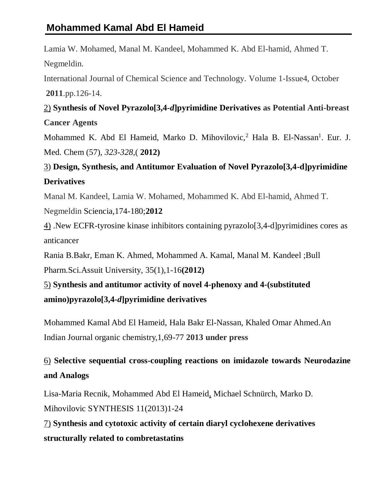Lamia W. Mohamed, Manal M. Kandeel, Mohammed K. Abd El-hamid, Ahmed T. Negmeldin.

International Journal of Chemical Science and Technology. Volume 1-Issue4, October **2011**.pp.126-14.

# 2) **Synthesis of Novel Pyrazolo[3,4-***d***]pyrimidine Derivatives as Potential Anti-breast Cancer Agents**

Mohammed K. Abd El Hameid, Marko D. Mihovilovic,<sup>2</sup> Hala B. El-Nassan<sup>1</sup>. Eur. J. Med. Chem (57), *323-328*,( **2012)**

# 3) **Design, Synthesis, and Antitumor Evaluation of Novel Pyrazolo[3,4-d]pyrimidine Derivatives**

Manal M. Kandeel, Lamia W. Mohamed, Mohammed K. Abd El-hamid, Ahmed T. Negmeldin Sciencia,174-180;**2012**

4) .New ECFR-tyrosine kinase inhibitors containing pyrazolo[3,4-d]pyrimidines cores as anticancer

Rania B.Bakr, Eman K. Ahmed, Mohammed A. Kamal, Manal M. Kandeel ;Bull Pharm.Sci.Assuit University, 35(1),1-16**(2012)**

# 5) **Synthesis and antitumor activity of novel 4-phenoxy and 4-(substituted amino)pyrazolo[3,4-***d***]pyrimidine derivatives**

Mohammed Kamal Abd El Hameid, Hala Bakr El-Nassan, Khaled Omar Ahmed.An Indian Journal organic chemistry,1,69-77 **2013 under press**

# 6) **Selective sequential cross-coupling reactions on imidazole towards Neurodazine and Analogs**

Lisa-Maria Recnik, Mohammed Abd El Hameid, Michael Schnürch, Marko D. Mihovilovic SYNTHESIS 11(2013)1-24

7) **Synthesis and cytotoxic activity of certain diaryl cyclohexene derivatives structurally related to combretastatins**